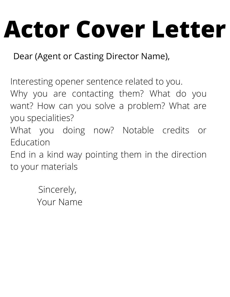## **Actor Cover Letter**

Dear (Agent or Casting Director Name),

Interesting opener sentence related to you.

Why you are contacting them? What do you want? How can you solve a problem? What are you specialities?

What you doing now? Notable credits or Education

End in a kind way pointing them in the direction to your materials

> Sincerely, Your Name